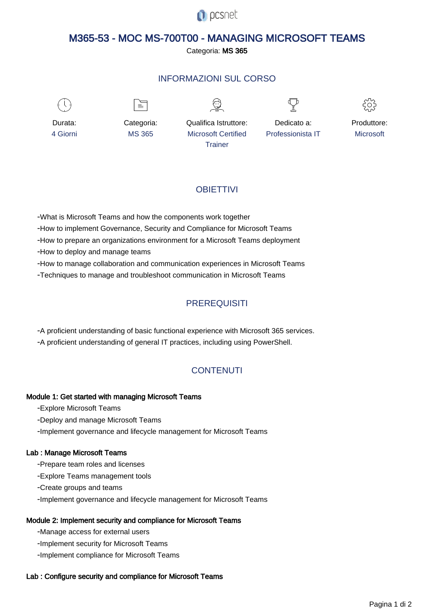

# M365-53 - MOC MS-700T00 - MANAGING MICROSOFT TEAMS

Categoria: MS 365

## INFORMAZIONI SUL CORSO



≡







Durata: 4 Giorni

Categoria: MS 365

Qualifica Istruttore: Microsoft Certified **Trainer** 

Dedicato a: Professionista IT Produttore: **Microsoft** 

## **OBIFTTIVI**

- What is Microsoft Teams and how the components work together

- How to implement Governance, Security and Compliance for Microsoft Teams

- How to prepare an organizations environment for a Microsoft Teams deployment

- How to deploy and manage teams

- How to manage collaboration and communication experiences in Microsoft Teams

- Techniques to manage and troubleshoot communication in Microsoft Teams

# **PREREQUISITI**

- A proficient understanding of basic functional experience with Microsoft 365 services.

- A proficient understanding of general IT practices, including using PowerShell.

## **CONTENUTI**

## Module 1: Get started with managing Microsoft Teams

- Explore Microsoft Teams

- Deploy and manage Microsoft Teams
- Implement governance and lifecycle management for Microsoft Teams

### Lab : Manage Microsoft Teams

- Prepare team roles and licenses
- Explore Teams management tools
- Create groups and teams
- Implement governance and lifecycle management for Microsoft Teams

## Module 2: Implement security and compliance for Microsoft Teams

- Manage access for external users
- Implement security for Microsoft Teams
- Implement compliance for Microsoft Teams

### Lab : Configure security and compliance for Microsoft Teams